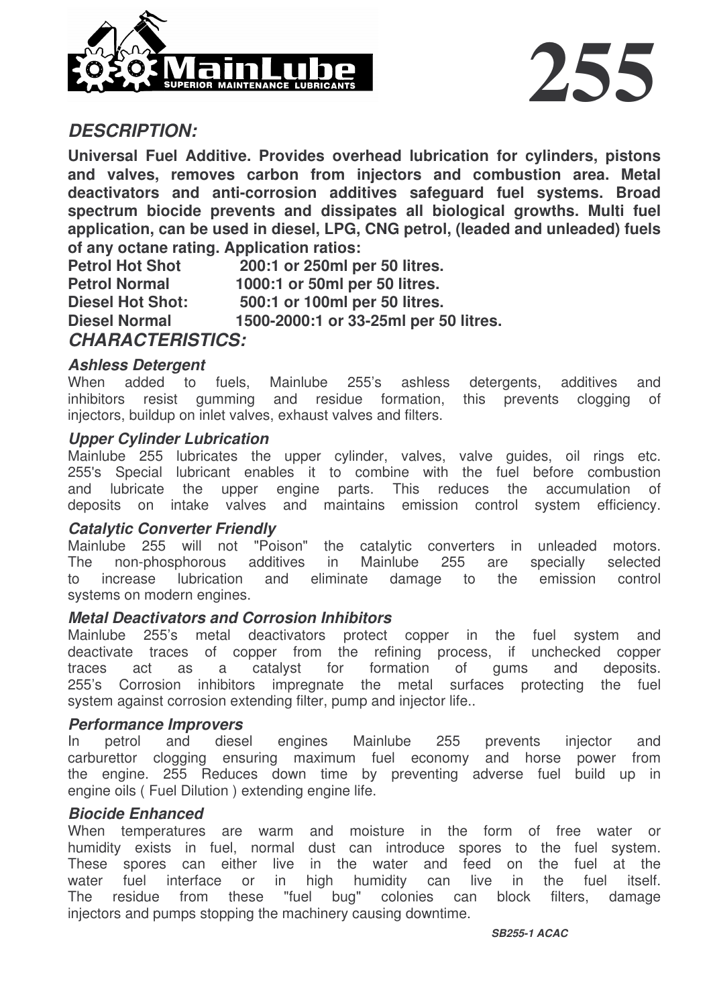



## *DESCRIPTION:*

**Universal Fuel Additive. Provides overhead lubrication for cylinders, pistons and valves, removes carbon from injectors and combustion area. Metal deactivators and anti-corrosion additives safeguard fuel systems. Broad spectrum biocide prevents and dissipates all biological growths. Multi fuel application, can be used in diesel, LPG, CNG petrol, (leaded and unleaded) fuels of any octane rating. Application ratios:**

**Petrol Hot Shot 200:1 or 250ml per 50 litres. Petrol Normal 1000:1 or 50ml per 50 litres. Diesel Hot Shot: 500:1 or 100ml per 50 litres. Diesel Normal 1500-2000:1 or 33-25ml per 50 litres.** *CHARACTERISTICS:*

#### *Ashless Detergent*

When added to fuels, Mainlube 255's ashless detergents, additives and inhibitors resist gumming and residue formation, this prevents clogging of injectors, buildup on inlet valves, exhaust valves and filters.

#### *Upper Cylinder Lubrication*

Mainlube 255 lubricates the upper cylinder, valves, valve guides, oil rings etc. 255's Special lubricant enables it to combine with the fuel before combustion and lubricate the upper engine parts. This reduces the accumulation of deposits on intake valves and maintains emission control system efficiency.

#### *Catalytic Converter Friendly*

Mainlube 255 will not "Poison" the catalytic converters in unleaded motors. The non-phosphorous additives in Mainlube 255 are specially selected to increase lubrication and eliminate damage to the emission control systems on modern engines.

## *Metal Deactivators and Corrosion Inhibitors*

Mainlube 255's metal deactivators protect copper in the fuel system and deactivate traces of copper from the refining process, if unchecked copper traces act as a catalyst for formation of gums and deposits. 255's Corrosion inhibitors impregnate the metal surfaces protecting the fuel system against corrosion extending filter, pump and injector life..

#### *Performance Improvers*

In petrol and diesel engines Mainlube 255 prevents injector and carburettor clogging ensuring maximum fuel economy and horse power from the engine. 255 Reduces down time by preventing adverse fuel build up in engine oils ( Fuel Dilution ) extending engine life.

#### *Biocide Enhanced*

When temperatures are warm and moisture in the form of free water or humidity exists in fuel, normal dust can introduce spores to the fuel system. These spores can either live in the water and feed on the fuel at the water fuel interface or in high humidity can live in the fuel itself. The residue from these "fuel bug" colonies can block filters, damage injectors and pumps stopping the machinery causing downtime.